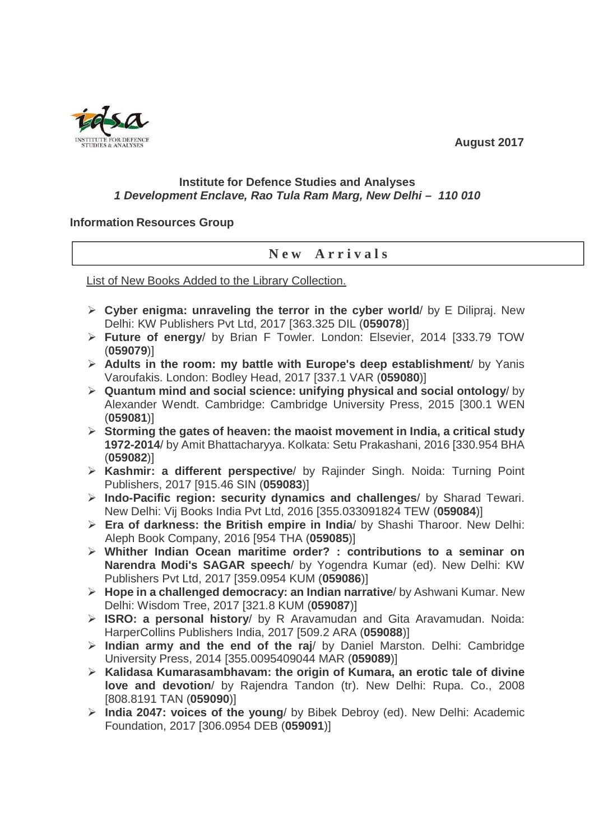**August 2017** 



## **Institute for Defence Studies and Analyses 1 Development Enclave, Rao Tula Ram Marg, New Delhi – 110 010**

## **Information Resources Group**

## **N e w A r r i v a l s**

List of New Books Added to the Library Collection.

- **Cyber enigma: unraveling the terror in the cyber world**/ by E Dilipraj. New Delhi: KW Publishers Pvt Ltd, 2017 [363.325 DIL (**059078**)]
- **Future of energy**/ by Brian F Towler. London: Elsevier, 2014 [333.79 TOW (**059079**)]
- **Adults in the room: my battle with Europe's deep establishment**/ by Yanis Varoufakis. London: Bodley Head, 2017 [337.1 VAR (**059080**)]
- **Quantum mind and social science: unifying physical and social ontology**/ by Alexander Wendt. Cambridge: Cambridge University Press, 2015 [300.1 WEN (**059081**)]
- **Storming the gates of heaven: the maoist movement in India, a critical study 1972-2014**/ by Amit Bhattacharyya. Kolkata: Setu Prakashani, 2016 [330.954 BHA (**059082**)]
- **Kashmir: a different perspective**/ by Rajinder Singh. Noida: Turning Point Publishers, 2017 [915.46 SIN (**059083**)]
- **Indo-Pacific region: security dynamics and challenges**/ by Sharad Tewari. New Delhi: Vij Books India Pvt Ltd, 2016 [355.033091824 TEW (**059084**)]
- **Era of darkness: the British empire in India**/ by Shashi Tharoor. New Delhi: Aleph Book Company, 2016 [954 THA (**059085**)]
- **Whither Indian Ocean maritime order? : contributions to a seminar on Narendra Modi's SAGAR speech**/ by Yogendra Kumar (ed). New Delhi: KW Publishers Pvt Ltd, 2017 [359.0954 KUM (**059086**)]
- **Hope in a challenged democracy: an Indian narrative**/ by Ashwani Kumar. New Delhi: Wisdom Tree, 2017 [321.8 KUM (**059087**)]
- **ISRO: a personal history**/ by R Aravamudan and Gita Aravamudan. Noida: HarperCollins Publishers India, 2017 [509.2 ARA (**059088**)]
- **Indian army and the end of the raj**/ by Daniel Marston. Delhi: Cambridge University Press, 2014 [355.0095409044 MAR (**059089**)]
- **Kalidasa Kumarasambhavam: the origin of Kumara, an erotic tale of divine love and devotion**/ by Rajendra Tandon (tr). New Delhi: Rupa. Co., 2008 [808.8191 TAN (**059090**)]
- **India 2047: voices of the young**/ by Bibek Debroy (ed). New Delhi: Academic Foundation, 2017 [306.0954 DEB (**059091**)]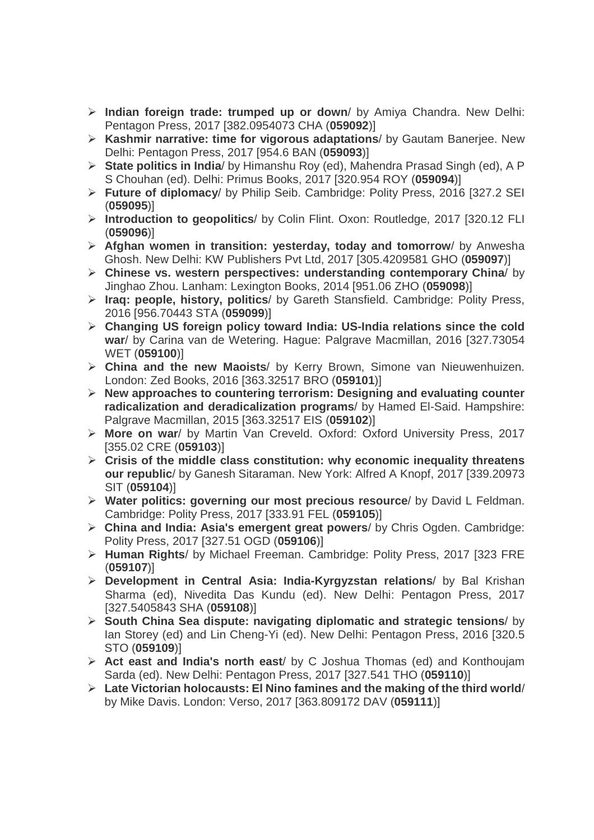- **Indian foreign trade: trumped up or down**/ by Amiya Chandra. New Delhi: Pentagon Press, 2017 [382.0954073 CHA (**059092**)]
- **Kashmir narrative: time for vigorous adaptations**/ by Gautam Banerjee. New Delhi: Pentagon Press, 2017 [954.6 BAN (**059093**)]
- **State politics in India**/ by Himanshu Roy (ed), Mahendra Prasad Singh (ed), A P S Chouhan (ed). Delhi: Primus Books, 2017 [320.954 ROY (**059094**)]
- **Future of diplomacy**/ by Philip Seib. Cambridge: Polity Press, 2016 [327.2 SEI (**059095**)]
- **Introduction to geopolitics**/ by Colin Flint. Oxon: Routledge, 2017 [320.12 FLI (**059096**)]
- **Afghan women in transition: yesterday, today and tomorrow**/ by Anwesha Ghosh. New Delhi: KW Publishers Pvt Ltd, 2017 [305.4209581 GHO (**059097**)]
- **Chinese vs. western perspectives: understanding contemporary China**/ by Jinghao Zhou. Lanham: Lexington Books, 2014 [951.06 ZHO (**059098**)]
- **Iraq: people, history, politics**/ by Gareth Stansfield. Cambridge: Polity Press, 2016 [956.70443 STA (**059099**)]
- **Changing US foreign policy toward India: US-India relations since the cold war**/ by Carina van de Wetering. Hague: Palgrave Macmillan, 2016 [327.73054 WET (**059100**)]
- **China and the new Maoists**/ by Kerry Brown, Simone van Nieuwenhuizen. London: Zed Books, 2016 [363.32517 BRO (**059101**)]
- **New approaches to countering terrorism: Designing and evaluating counter radicalization and deradicalization programs**/ by Hamed El-Said. Hampshire: Palgrave Macmillan, 2015 [363.32517 EIS (**059102**)]
- **More on war**/ by Martin Van Creveld. Oxford: Oxford University Press, 2017 [355.02 CRE (**059103**)]
- **Crisis of the middle class constitution: why economic inequality threatens our republic**/ by Ganesh Sitaraman. New York: Alfred A Knopf, 2017 [339.20973 SIT (**059104**)]
- **Water politics: governing our most precious resource**/ by David L Feldman. Cambridge: Polity Press, 2017 [333.91 FEL (**059105**)]
- **China and India: Asia's emergent great powers**/ by Chris Ogden. Cambridge: Polity Press, 2017 [327.51 OGD (**059106**)]
- **Human Rights**/ by Michael Freeman. Cambridge: Polity Press, 2017 [323 FRE (**059107**)]
- **Development in Central Asia: India-Kyrgyzstan relations**/ by Bal Krishan Sharma (ed), Nivedita Das Kundu (ed). New Delhi: Pentagon Press, 2017 [327.5405843 SHA (**059108**)]
- **South China Sea dispute: navigating diplomatic and strategic tensions**/ by Ian Storey (ed) and Lin Cheng-Yi (ed). New Delhi: Pentagon Press, 2016 [320.5 STO (**059109**)]
- **Act east and India's north east**/ by C Joshua Thomas (ed) and Konthoujam Sarda (ed). New Delhi: Pentagon Press, 2017 [327.541 THO (**059110**)]
- **Late Victorian holocausts: El Nino famines and the making of the third world**/ by Mike Davis. London: Verso, 2017 [363.809172 DAV (**059111**)]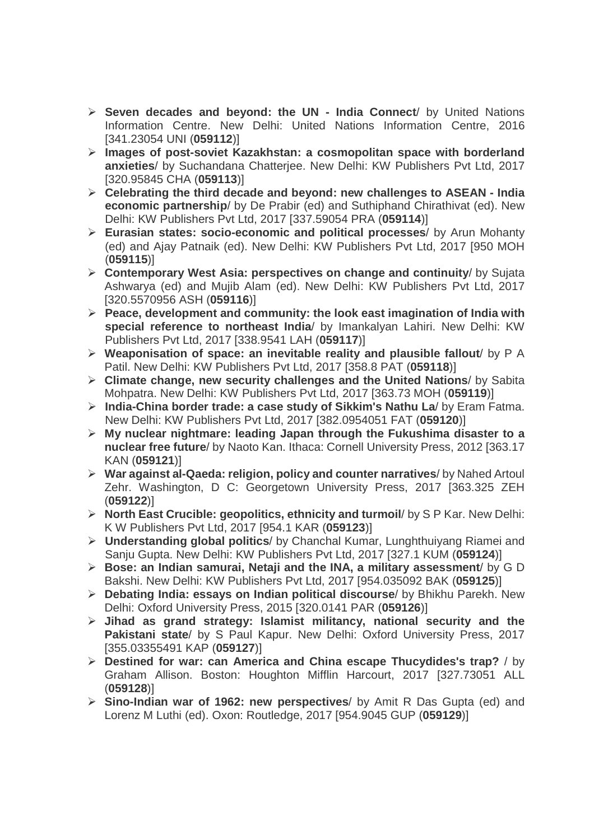- **Seven decades and beyond: the UN India Connect**/ by United Nations Information Centre. New Delhi: United Nations Information Centre, 2016 [341.23054 UNI (**059112**)]
- **Images of post-soviet Kazakhstan: a cosmopolitan space with borderland anxieties**/ by Suchandana Chatterjee. New Delhi: KW Publishers Pvt Ltd, 2017 [320.95845 CHA (**059113**)]
- **Celebrating the third decade and beyond: new challenges to ASEAN India economic partnership**/ by De Prabir (ed) and Suthiphand Chirathivat (ed). New Delhi: KW Publishers Pvt Ltd, 2017 [337.59054 PRA (**059114**)]
- **Eurasian states: socio-economic and political processes**/ by Arun Mohanty (ed) and Ajay Patnaik (ed). New Delhi: KW Publishers Pvt Ltd, 2017 [950 MOH (**059115**)]
- **Contemporary West Asia: perspectives on change and continuity**/ by Sujata Ashwarya (ed) and Mujib Alam (ed). New Delhi: KW Publishers Pvt Ltd, 2017 [320.5570956 ASH (**059116**)]
- **Peace, development and community: the look east imagination of India with special reference to northeast India**/ by Imankalyan Lahiri. New Delhi: KW Publishers Pvt Ltd, 2017 [338.9541 LAH (**059117**)]
- **Weaponisation of space: an inevitable reality and plausible fallout**/ by P A Patil. New Delhi: KW Publishers Pvt Ltd, 2017 [358.8 PAT (**059118**)]
- **Climate change, new security challenges and the United Nations**/ by Sabita Mohpatra. New Delhi: KW Publishers Pvt Ltd, 2017 [363.73 MOH (**059119**)]
- **India-China border trade: a case study of Sikkim's Nathu La**/ by Eram Fatma. New Delhi: KW Publishers Pvt Ltd, 2017 [382.0954051 FAT (**059120**)]
- **My nuclear nightmare: leading Japan through the Fukushima disaster to a nuclear free future**/ by Naoto Kan. Ithaca: Cornell University Press, 2012 [363.17 KAN (**059121**)]
- **War against al-Qaeda: religion, policy and counter narratives**/ by Nahed Artoul Zehr. Washington, D C: Georgetown University Press, 2017 [363.325 ZEH (**059122**)]
- **North East Crucible: geopolitics, ethnicity and turmoil**/ by S P Kar. New Delhi: K W Publishers Pvt Ltd, 2017 [954.1 KAR (**059123**)]
- **Understanding global politics**/ by Chanchal Kumar, Lunghthuiyang Riamei and Sanju Gupta. New Delhi: KW Publishers Pvt Ltd, 2017 [327.1 KUM (**059124**)]
- **Bose: an Indian samurai, Netaji and the INA, a military assessment**/ by G D Bakshi. New Delhi: KW Publishers Pvt Ltd, 2017 [954.035092 BAK (**059125**)]
- **Debating India: essays on Indian political discourse**/ by Bhikhu Parekh. New Delhi: Oxford University Press, 2015 [320.0141 PAR (**059126**)]
- **Jihad as grand strategy: Islamist militancy, national security and the Pakistani state**/ by S Paul Kapur. New Delhi: Oxford University Press, 2017 [355.03355491 KAP (**059127**)]
- **Destined for war: can America and China escape Thucydides's trap?** / by Graham Allison. Boston: Houghton Mifflin Harcourt, 2017 [327.73051 ALL (**059128**)]
- **Sino-Indian war of 1962: new perspectives**/ by Amit R Das Gupta (ed) and Lorenz M Luthi (ed). Oxon: Routledge, 2017 [954.9045 GUP (**059129**)]